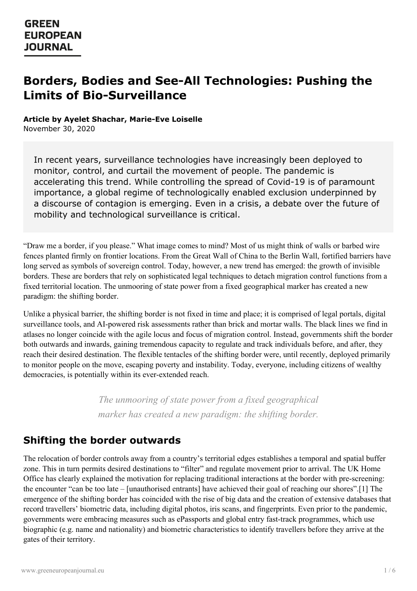# **Borders, Bodies and See-All Technologies: Pushing the Limits of Bio-Surveillance**

#### **Article by Ayelet Shachar, Marie-Eve Loiselle**

November 30, 2020

In recent years, surveillance technologies have increasingly been deployed to monitor, control, and curtail the movement of people. The pandemic is accelerating this trend. While controlling the spread of Covid-19 is of paramount importance, a global regime of technologically enabled exclusion underpinned by a discourse of contagion is emerging. Even in a crisis, a debate over the future of mobility and technological surveillance is critical.

"Draw me a border, if you please." What image comes to mind? Most of us might think of walls or barbed wire fences planted firmly on frontier locations. From the Great Wall of China to the Berlin Wall, fortified barriers have long served as symbols of sovereign control. Today, however, a new trend has emerged: the growth of invisible borders. These are borders that rely on sophisticated legal techniques to detach migration control functions from a fixed territorial location. The unmooring of state power from a fixed geographical marker has created a new paradigm: the shifting border.

Unlike a physical barrier, the shifting border is not fixed in time and place; it is comprised of legal portals, digital surveillance tools, and AI-powered risk assessments rather than brick and mortar walls. The black lines we find in atlases no longer coincide with the agile locus and focus of migration control. Instead, governments shift the border both outwards and inwards, gaining tremendous capacity to regulate and track individuals before, and after, they reach their desired destination. The flexible tentacles of the shifting border were, until recently, deployed primarily to monitor people on the move, escaping poverty and instability. Today, everyone, including citizens of wealthy democracies, is potentially within its ever-extended reach.

> *The unmooring of state power from a fixed geographical marker has created a new paradigm: the shifting border.*

### **Shifting the border outwards**

The relocation of border controls away from a country's territorial edges establishes a temporal and spatial buffer zone. This in turn permits desired destinations to "filter" and regulate movement prior to arrival. The UK Home Office has clearly explained the motivation for replacing traditional interactions at the border with pre-screening: the encounter "can be too late – [unauthorised entrants] have achieved their goal of reaching our shores".[1] The [emergence](https://www.greeneuropeanjournal.eu) of the shifting border has coincided with the rise of big data and the creation of extensive databases that record travellers' biometric data, including digital photos, iris scans, and fingerprints. Even prior to the pandemic, governments were embracing measures such as ePassports and global entry fast-track programmes, which use biographic (e.g. name and nationality) and biometric characteristics to identify travellers before they arrive at the gates of their territory.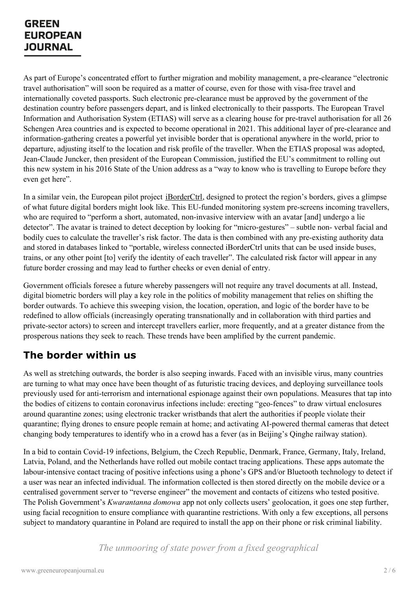As part of Europe's concentrated effort to further migration and mobility management, a pre-clearance "electronic travel authorisation" will soon be required as a matter of course, even for those with visa-free travel and internationally coveted passports. Such electronic pre-clearance must be approved by the government of the destination country before passengers depart, and is linked electronically to their passports. The European Travel Information and Authorisation System (ETIAS) will serve as a clearing house for pre-travel authorisation for all 26 Schengen Area countries and is expected to become operational in 2021. This additional layer of pre-clearance and information-gathering creates a powerful yet invisible border that is operational anywhere in the world, prior to departure, adjusting itself to the location and risk profile of the traveller. When the ETIAS proposal was adopted, Jean-Claude Juncker, then president of the European Commission, justified the EU's commitment to rolling out this new system in his 2016 State of the Union address as a "way to know who is travelling to Europe before they even get here".

In a similar vein, the European pilot project [iBorderCtrl](https://cordis.europa.eu/project/id/700626), designed to protect the region's borders, gives a glimpse of what future digital borders might look like. This EU-funded monitoring system pre-screens incoming travellers, who are required to "perform a short, automated, non-invasive interview with an avatar [and] undergo a lie detector". The avatar is trained to detect deception by looking for "micro-gestures" – subtle non- verbal facial and bodily cues to calculate the traveller's risk factor. The data is then combined with any pre-existing authority data and stored in databases linked to "portable, wireless connected iBorderCtrl units that can be used inside buses, trains, or any other point [to] verify the identity of each traveller". The calculated risk factor will appear in any future border crossing and may lead to further checks or even denial of entry.

Government officials foresee a future whereby passengers will not require any travel documents at all. Instead, digital biometric borders will play a key role in the politics of mobility management that relies on shifting the border outwards. To achieve this sweeping vision, the location, operation, and logic of the border have to be redefined to allow officials (increasingly operating transnationally and in collaboration with third parties and private-sector actors) to screen and intercept travellers earlier, more frequently, and at a greater distance from the prosperous nations they seek to reach. These trends have been amplified by the current pandemic.

### **The border within us**

As well as stretching outwards, the border is also seeping inwards. Faced with an invisible virus, many countries are turning to what may once have been thought of as futuristic tracing devices, and deploying surveillance tools previously used for anti-terrorism and international espionage against their own populations. Measures that tap into the bodies of citizens to contain coronavirus infections include: erecting "geo-fences" to draw virtual enclosures around quarantine zones; using electronic tracker wristbands that alert the authorities if people violate their quarantine; flying drones to ensure people remain at home; and activating AI-powered thermal cameras that detect changing body temperatures to identify who in a crowd has a fever (as in Beijing's Qinghe railway station).

In a bid to contain Covid-19 infections, Belgium, the Czech Republic, Denmark, France, Germany, Italy, Ireland, Latvia, Poland, and the Netherlands have rolled out mobile contact tracing applications. These apps automate the labour-intensive contact tracing of positive infections using a phone's GPS and/or Bluetooth technology to detect if a user was near an infected individual. The information collected is then stored directly on the mobile device or a centralised [government](https://www.greeneuropeanjournal.eu) server to "reverse engineer" the movement and contacts of citizens who tested positive. The Polish Government's *Kwarantanna domowa* app not only collects users' geolocation, it goes one step further, using facial recognition to ensure compliance with quarantine restrictions. With only a few exceptions, all persons subject to mandatory quarantine in Poland are required to install the app on their phone or risk criminal liability.

*The unmooring of state power from a fixed geographical*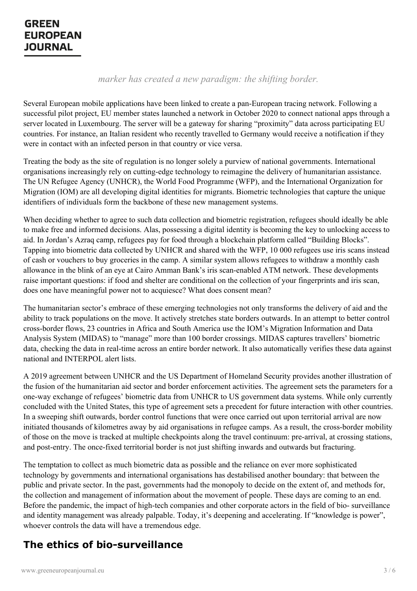### *marker has created a new paradigm: the shifting border.*

Several European mobile applications have been linked to create a pan-European tracing network. Following a successful pilot project, EU member states launched a network in October 2020 to connect national apps through a server located in Luxembourg. The server will be a gateway for sharing "proximity" data across participating EU countries. For instance, an Italian resident who recently travelled to Germany would receive a notification if they were in contact with an infected person in that country or vice versa.

Treating the body as the site of regulation is no longer solely a purview of national governments. International organisations increasingly rely on cutting-edge technology to reimagine the delivery of humanitarian assistance. The UN Refugee Agency (UNHCR), the World Food Programme (WFP), and the International Organization for Migration (IOM) are all developing digital identities for migrants. Biometric technologies that capture the unique identifiers of individuals form the backbone of these new management systems.

When deciding whether to agree to such data collection and biometric registration, refugees should ideally be able to make free and informed decisions. Alas, possessing a digital identity is becoming the key to unlocking access to aid. In Jordan's Azraq camp, refugees pay for food through a blockchain platform called "Building Blocks". Tapping into biometric data collected by UNHCR and shared with the WFP, 10 000 refugees use iris scans instead of cash or vouchers to buy groceries in the camp. A similar system allows refugees to withdraw a monthly cash allowance in the blink of an eye at Cairo Amman Bank's iris scan-enabled ATM network. These developments raise important questions: if food and shelter are conditional on the collection of your fingerprints and iris scan, does one have meaningful power not to acquiesce? What does consent mean?

The humanitarian sector's embrace of these emerging technologies not only transforms the delivery of aid and the ability to track populations on the move. It actively stretches state borders outwards. In an attempt to better control cross-border flows, 23 countries in Africa and South America use the IOM's Migration Information and Data Analysis System (MIDAS) to "manage" more than 100 border crossings. MIDAS captures travellers' biometric data, checking the data in real-time across an entire border network. It also automatically verifies these data against national and INTERPOL alert lists.

A 2019 agreement between UNHCR and the US Department of Homeland Security provides another illustration of the fusion of the humanitarian aid sector and border enforcement activities. The agreement sets the parameters for a one-way exchange of refugees' biometric data from UNHCR to US government data systems. While only currently concluded with the United States, this type of agreement sets a precedent for future interaction with other countries. In a sweeping shift outwards, border control functions that were once carried out upon territorial arrival are now initiated thousands of kilometres away by aid organisations in refugee camps. As a result, the cross-border mobility of those on the move is tracked at multiple checkpoints along the travel continuum: pre-arrival, at crossing stations, and post-entry. The once-fixed territorial border is not just shifting inwards and outwards but fracturing.

The temptation to collect as much biometric data as possible and the reliance on ever more sophisticated technology by governments and international organisations has destabilised another boundary: that between the public and private sector. In the past, governments had the monopoly to decide on the extent of, and methods for, the [collection](https://www.greeneuropeanjournal.eu) and management of information about the movement of people. These days are coming to an end. Before the pandemic, the impact of high-tech companies and other corporate actors in the field of bio- surveillance and identity management was already palpable. Today, it's deepening and accelerating. If "knowledge is power", whoever controls the data will have a tremendous edge.

## **The ethics of bio-surveillance**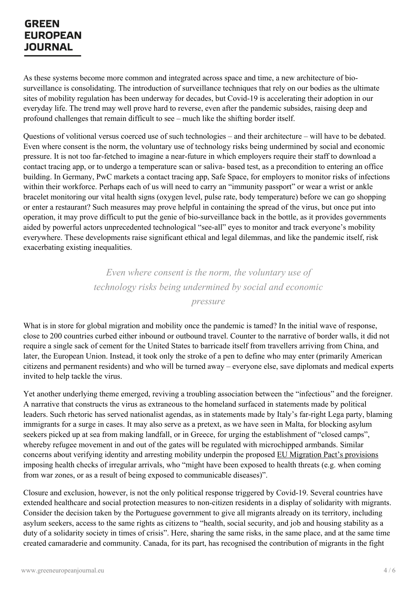As these systems become more common and integrated across space and time, a new architecture of biosurveillance is consolidating. The introduction of surveillance techniques that rely on our bodies as the ultimate sites of mobility regulation has been underway for decades, but Covid-19 is accelerating their adoption in our everyday life. The trend may well prove hard to reverse, even after the pandemic subsides, raising deep and profound challenges that remain difficult to see – much like the shifting border itself.

Questions of volitional versus coerced use of such technologies – and their architecture – will have to be debated. Even where consent is the norm, the voluntary use of technology risks being undermined by social and economic pressure. It is not too far-fetched to imagine a near-future in which employers require their staff to download a contact tracing app, or to undergo a temperature scan or saliva- based test, as a precondition to entering an office building. In Germany, PwC markets a contact tracing app, Safe Space, for employers to monitor risks of infections within their workforce. Perhaps each of us will need to carry an "immunity passport" or wear a wrist or ankle bracelet monitoring our vital health signs (oxygen level, pulse rate, body temperature) before we can go shopping or enter a restaurant? Such measures may prove helpful in containing the spread of the virus, but once put into operation, it may prove difficult to put the genie of bio-surveillance back in the bottle, as it provides governments aided by powerful actors unprecedented technological "see-all" eyes to monitor and track everyone's mobility everywhere. These developments raise significant ethical and legal dilemmas, and like the pandemic itself, risk exacerbating existing inequalities.

> *Even where consent is the norm, the voluntary use of technology risks being undermined by social and economic*

> > *pressure*

What is in store for global migration and mobility once the pandemic is tamed? In the initial wave of response, close to 200 countries curbed either inbound or outbound travel. Counter to the narrative of border walls, it did not require a single sack of cement for the United States to barricade itself from travellers arriving from China, and later, the European Union. Instead, it took only the stroke of a pen to define who may enter (primarily American citizens and permanent residents) and who will be turned away – everyone else, save diplomats and medical experts invited to help tackle the virus.

Yet another underlying theme emerged, reviving a troubling association between the "infectious" and the foreigner. A narrative that constructs the virus as extraneous to the homeland surfaced in statements made by political leaders. Such rhetoric has served nationalist agendas, as in statements made by Italy's far-right Lega party, blaming immigrants for a surge in cases. It may also serve as a pretext, as we have seen in Malta, for blocking asylum seekers picked up at sea from making landfall, or in Greece, for urging the establishment of "closed camps", whereby refugee movement in and out of the gates will be regulated with microchipped armbands. Similar concerns about verifying identity and arresting mobility underpin the proposed EU Migration Pact's [provisions](https://www.dw.com/en/after-moria-eu-to-try-closed-asylum-camps-on-greek-islands/a-55032182) imposing health checks of irregular arrivals, who "might have been exposed to health threats (e.g. when coming from war zones, or as a result of being exposed to communicable diseases)".

Closure and [exclusion,](https://www.greeneuropeanjournal.eu) however, is not the only political response triggered by Covid-19. Several countries have extended healthcare and social protection measures to non-citizen residents in a display of solidarity with migrants. Consider the decision taken by the Portuguese government to give all migrants already on its territory, including asylum seekers, access to the same rights as citizens to "health, social security, and job and housing stability as a duty of a solidarity society in times of crisis". Here, sharing the same risks, in the same place, and at the same time created camaraderie and community. Canada, for its part, has recognised the contribution of migrants in the fight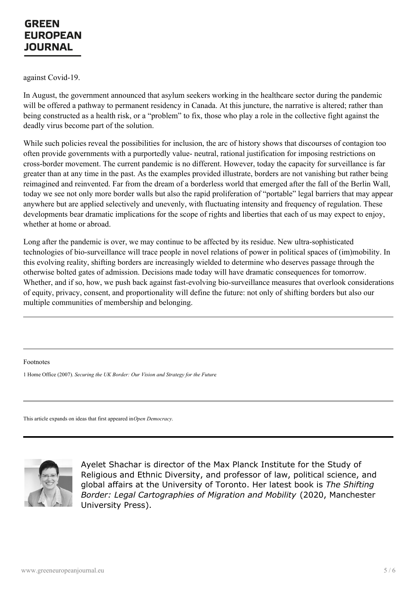against Covid-19.

In August, the government announced that asylum seekers working in the healthcare sector during the pandemic will be offered a pathway to permanent residency in Canada. At this juncture, the narrative is altered; rather than being constructed as a health risk, or a "problem" to fix, those who play a role in the collective fight against the deadly virus become part of the solution.

While such policies reveal the possibilities for inclusion, the arc of history shows that discourses of contagion too often provide governments with a purportedly value- neutral, rational justification for imposing restrictions on cross-border movement. The current pandemic is no different. However, today the capacity for surveillance is far greater than at any time in the past. As the examples provided illustrate, borders are not vanishing but rather being reimagined and reinvented. Far from the dream of a borderless world that emerged after the fall of the Berlin Wall, today we see not only more border walls but also the rapid proliferation of "portable" legal barriers that may appear anywhere but are applied selectively and unevenly, with fluctuating intensity and frequency of regulation. These developments bear dramatic implications for the scope of rights and liberties that each of us may expect to enjoy, whether at home or abroad.

Long after the pandemic is over, we may continue to be affected by its residue. New ultra-sophisticated technologies of bio-surveillance will trace people in novel relations of power in political spaces of (im)mobility. In this evolving reality, shifting borders are increasingly wielded to determine who deserves passage through the otherwise bolted gates of admission. Decisions made today will have dramatic consequences for tomorrow. Whether, and if so, how, we push back against fast-evolving bio-surveillance measures that overlook considerations of equity, privacy, consent, and proportionality will define the future: not only of shifting borders but also our multiple communities of membership and belonging.

Footnotes

1 Home Office (2007). *Securing the UK Border: Our Vision and Strategy for the Future*.

This article expands on ideas that first appeared in*Open Democracy*.



Ayelet Shachar is director of the Max Planck Institute for the Study of Religious and Ethnic Diversity, and professor of law, political science, and global affairs at the University of Toronto. Her latest book is *The Shifting [Borde](https://www.greeneuropeanjournal.eu)r: Legal Cartographies of Migration and Mobility* (2020, Manchester University Press).